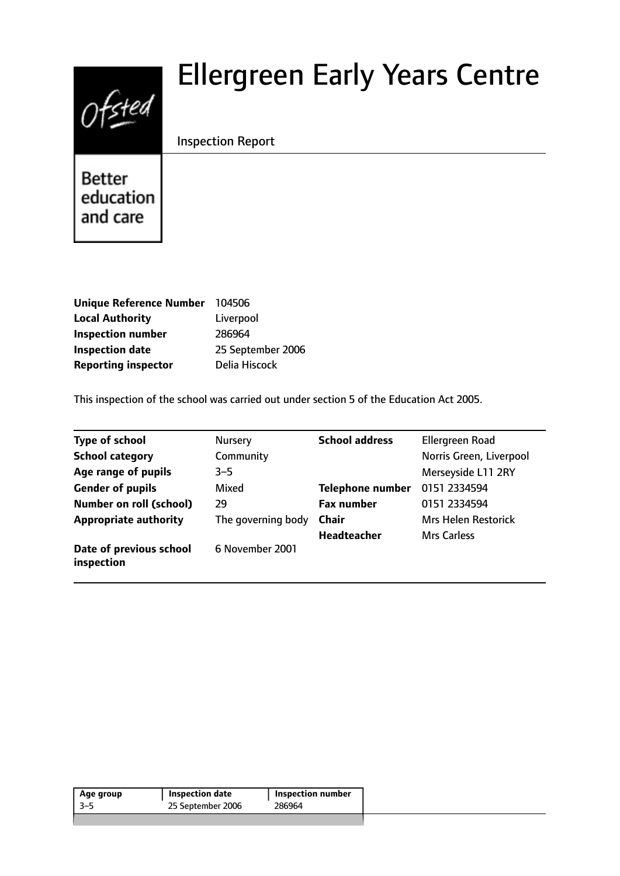# $0$ fsted

# Ellergreen Early Years Centre

# Inspection Report

**Better** education and care

| Unique Reference Number 104506 |                   |
|--------------------------------|-------------------|
| <b>Local Authority</b>         | Liverpool         |
| <b>Inspection number</b>       | 286964            |
| <b>Inspection date</b>         | 25 September 2006 |
| <b>Reporting inspector</b>     | Delia Hiscock     |

This inspection of the school was carried out under section 5 of the Education Act 2005.

| <b>Type of school</b>                 | <b>Nursery</b>     | <b>School address</b>   | Ellergreen Road            |
|---------------------------------------|--------------------|-------------------------|----------------------------|
| <b>School category</b>                | Community          |                         | Norris Green, Liverpool    |
| Age range of pupils                   | $3 - 5$            |                         | Merseyside L11 2RY         |
| <b>Gender of pupils</b>               | Mixed              | <b>Telephone number</b> | 0151 2334594               |
| <b>Number on roll (school)</b>        | 29                 | <b>Fax number</b>       | 0151 2334594               |
| <b>Appropriate authority</b>          | The governing body | <b>Chair</b>            | <b>Mrs Helen Restorick</b> |
|                                       |                    | <b>Headteacher</b>      | <b>Mrs Carless</b>         |
| Date of previous school<br>inspection | 6 November 2001    |                         |                            |

| Age group | <b>Inspection date</b> | <b>Inspection number</b> |
|-----------|------------------------|--------------------------|
| $3 - 5$   | 25 September 2006      | 286964                   |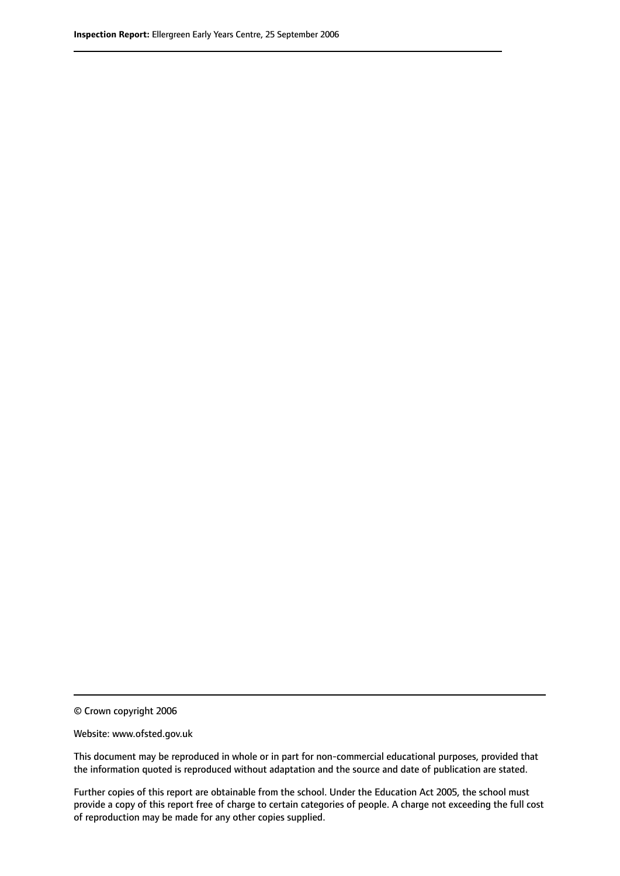© Crown copyright 2006

Website: www.ofsted.gov.uk

This document may be reproduced in whole or in part for non-commercial educational purposes, provided that the information quoted is reproduced without adaptation and the source and date of publication are stated.

Further copies of this report are obtainable from the school. Under the Education Act 2005, the school must provide a copy of this report free of charge to certain categories of people. A charge not exceeding the full cost of reproduction may be made for any other copies supplied.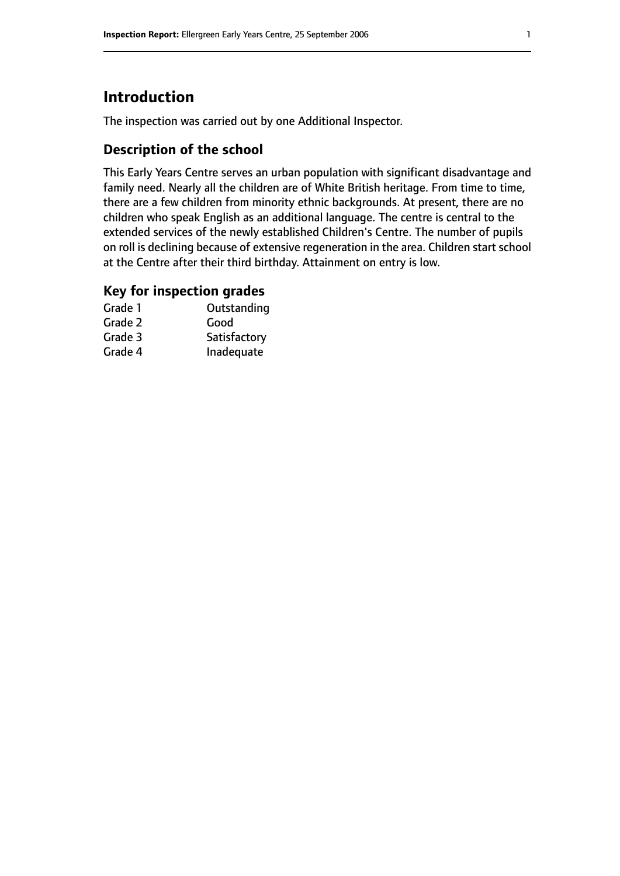# **Introduction**

The inspection was carried out by one Additional Inspector.

# **Description of the school**

This Early Years Centre serves an urban population with significant disadvantage and family need. Nearly all the children are of White British heritage. From time to time, there are a few children from minority ethnic backgrounds. At present, there are no children who speak English as an additional language. The centre is central to the extended services of the newly established Children's Centre. The number of pupils on roll is declining because of extensive regeneration in the area. Children start school at the Centre after their third birthday. Attainment on entry is low.

### **Key for inspection grades**

| Grade 1 | Outstanding  |
|---------|--------------|
| Grade 2 | Good         |
| Grade 3 | Satisfactory |
| Grade 4 | Inadequate   |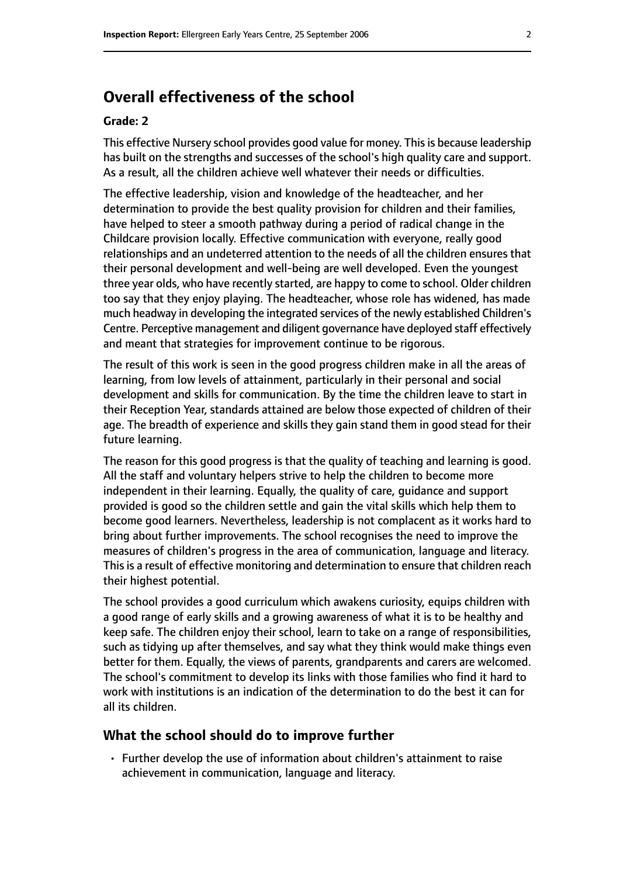# **Overall effectiveness of the school**

#### **Grade: 2**

This effective Nursery school provides good value for money. Thisis because leadership has built on the strengths and successes of the school's high quality care and support. As a result, all the children achieve well whatever their needs or difficulties.

The effective leadership, vision and knowledge of the headteacher, and her determination to provide the best quality provision for children and their families, have helped to steer a smooth pathway during a period of radical change in the Childcare provision locally. Effective communication with everyone, really good relationships and an undeterred attention to the needs of all the children ensures that their personal development and well-being are well developed. Even the youngest three year olds, who have recently started, are happy to come to school. Older children too say that they enjoy playing. The headteacher, whose role has widened, has made much headway in developing the integrated services of the newly established Children's Centre. Perceptive management and diligent governance have deployed staff effectively and meant that strategies for improvement continue to be rigorous.

The result of this work is seen in the good progress children make in all the areas of learning, from low levels of attainment, particularly in their personal and social development and skills for communication. By the time the children leave to start in their Reception Year, standards attained are below those expected of children of their age. The breadth of experience and skills they gain stand them in good stead for their future learning.

The reason for this good progress is that the quality of teaching and learning is good. All the staff and voluntary helpers strive to help the children to become more independent in their learning. Equally, the quality of care, guidance and support provided is good so the children settle and gain the vital skills which help them to become good learners. Nevertheless, leadership is not complacent as it works hard to bring about further improvements. The school recognises the need to improve the measures of children's progress in the area of communication, language and literacy. This is a result of effective monitoring and determination to ensure that children reach their highest potential.

The school provides a good curriculum which awakens curiosity, equips children with a good range of early skills and a growing awareness of what it is to be healthy and keep safe. The children enjoy their school, learn to take on a range of responsibilities, such as tidying up after themselves, and say what they think would make things even better for them. Equally, the views of parents, grandparents and carers are welcomed. The school's commitment to develop its links with those families who find it hard to work with institutions is an indication of the determination to do the best it can for all its children.

#### **What the school should do to improve further**

• Further develop the use of information about children's attainment to raise achievement in communication, language and literacy.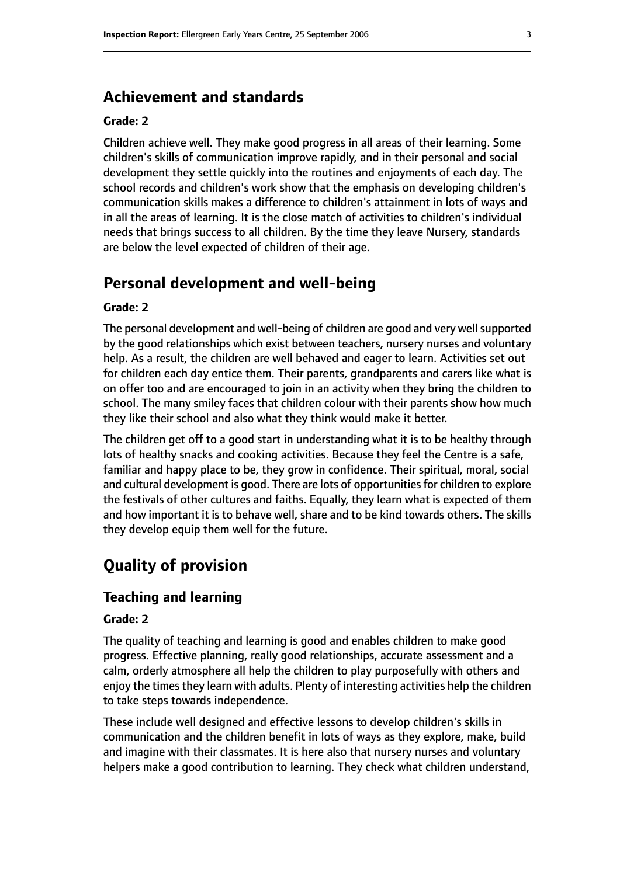# **Achievement and standards**

#### **Grade: 2**

Children achieve well. They make good progress in all areas of their learning. Some children's skills of communication improve rapidly, and in their personal and social development they settle quickly into the routines and enjoyments of each day. The school records and children's work show that the emphasis on developing children's communication skills makes a difference to children's attainment in lots of ways and in all the areas of learning. It is the close match of activities to children's individual needs that brings success to all children. By the time they leave Nursery, standards are below the level expected of children of their age.

# **Personal development and well-being**

#### **Grade: 2**

The personal development and well-being of children are good and very well supported by the good relationships which exist between teachers, nursery nurses and voluntary help. As a result, the children are well behaved and eager to learn. Activities set out for children each day entice them. Their parents, grandparents and carers like what is on offer too and are encouraged to join in an activity when they bring the children to school. The many smiley faces that children colour with their parents show how much they like their school and also what they think would make it better.

The children get off to a good start in understanding what it is to be healthy through lots of healthy snacks and cooking activities. Because they feel the Centre is a safe, familiar and happy place to be, they grow in confidence. Their spiritual, moral, social and cultural development is good. There are lots of opportunities for children to explore the festivals of other cultures and faiths. Equally, they learn what is expected of them and how important it is to behave well, share and to be kind towards others. The skills they develop equip them well for the future.

# **Quality of provision**

#### **Teaching and learning**

#### **Grade: 2**

The quality of teaching and learning is good and enables children to make good progress. Effective planning, really good relationships, accurate assessment and a calm, orderly atmosphere all help the children to play purposefully with others and enjoy the times they learn with adults. Plenty of interesting activities help the children to take steps towards independence.

These include well designed and effective lessons to develop children's skills in communication and the children benefit in lots of ways as they explore, make, build and imagine with their classmates. It is here also that nursery nurses and voluntary helpers make a good contribution to learning. They check what children understand,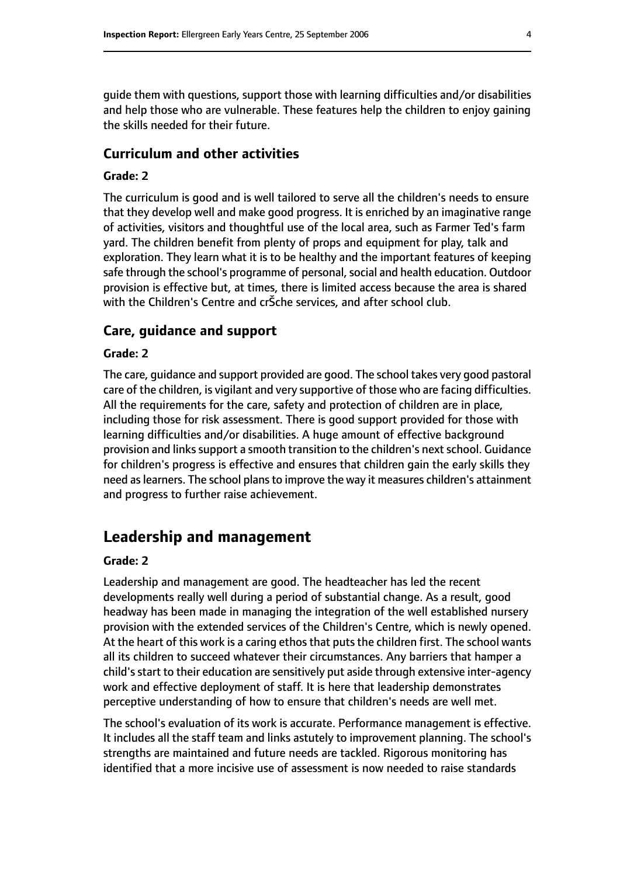guide them with questions, support those with learning difficulties and/or disabilities and help those who are vulnerable. These features help the children to enjoy gaining the skills needed for their future.

#### **Curriculum and other activities**

#### **Grade: 2**

The curriculum is good and is well tailored to serve all the children's needs to ensure that they develop well and make good progress. It is enriched by an imaginative range of activities, visitors and thoughtful use of the local area, such as Farmer Ted's farm yard. The children benefit from plenty of props and equipment for play, talk and exploration. They learn what it is to be healthy and the important features of keeping safe through the school's programme of personal, social and health education. Outdoor provision is effective but, at times, there is limited access because the area is shared with the Children's Centre and crŠche services, and after school club.

#### **Care, guidance and support**

#### **Grade: 2**

The care, guidance and support provided are good. The school takes very good pastoral care of the children, is vigilant and very supportive of those who are facing difficulties. All the requirements for the care, safety and protection of children are in place, including those for risk assessment. There is good support provided for those with learning difficulties and/or disabilities. A huge amount of effective background provision and links support a smooth transition to the children's next school. Guidance for children's progress is effective and ensures that children gain the early skills they need as learners. The school plans to improve the way it measures children's attainment and progress to further raise achievement.

# **Leadership and management**

#### **Grade: 2**

Leadership and management are good. The headteacher has led the recent developments really well during a period of substantial change. As a result, good headway has been made in managing the integration of the well established nursery provision with the extended services of the Children's Centre, which is newly opened. At the heart of this work is a caring ethos that puts the children first. The school wants all its children to succeed whatever their circumstances. Any barriers that hamper a child's start to their education are sensitively put aside through extensive inter-agency work and effective deployment of staff. It is here that leadership demonstrates perceptive understanding of how to ensure that children's needs are well met.

The school's evaluation of its work is accurate. Performance management is effective. It includes all the staff team and links astutely to improvement planning. The school's strengths are maintained and future needs are tackled. Rigorous monitoring has identified that a more incisive use of assessment is now needed to raise standards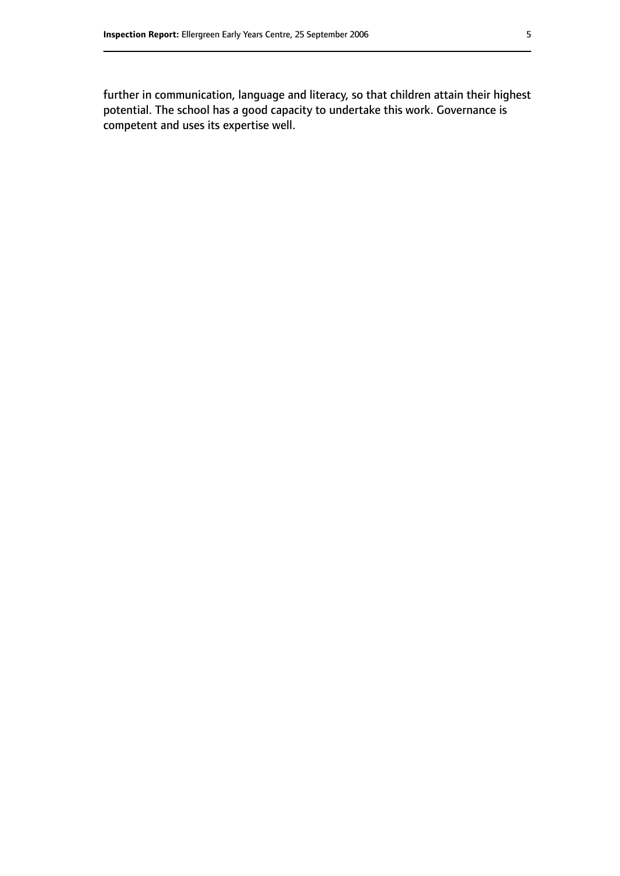further in communication, language and literacy, so that children attain their highest potential. The school has a good capacity to undertake this work. Governance is competent and uses its expertise well.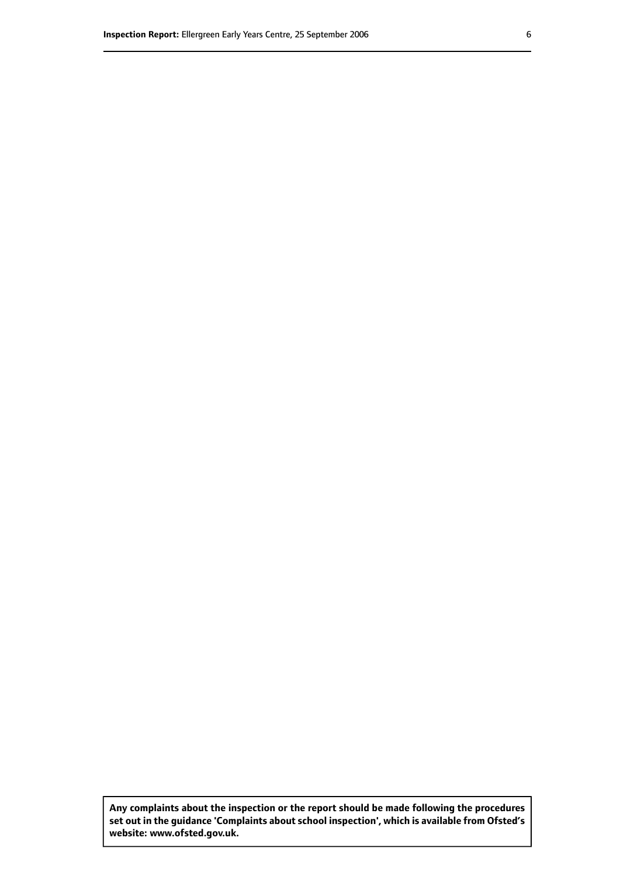**Any complaints about the inspection or the report should be made following the procedures set out inthe guidance 'Complaints about school inspection', whichis available from Ofsted's website: www.ofsted.gov.uk.**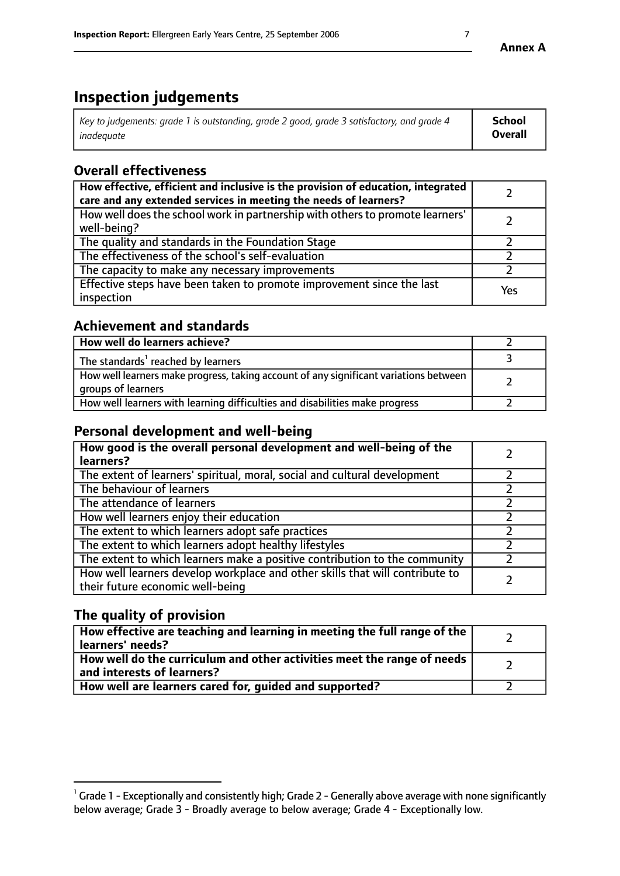# **Inspection judgements**

| Key to judgements: grade 1 is outstanding, grade 2 good, grade 3 satisfactory, and grade 4 | School         |
|--------------------------------------------------------------------------------------------|----------------|
| inadeauate                                                                                 | <b>Overall</b> |

# **Overall effectiveness**

| How effective, efficient and inclusive is the provision of education, integrated<br>care and any extended services in meeting the needs of learners? |     |
|------------------------------------------------------------------------------------------------------------------------------------------------------|-----|
| How well does the school work in partnership with others to promote learners'<br>well-being?                                                         |     |
| The quality and standards in the Foundation Stage                                                                                                    |     |
| The effectiveness of the school's self-evaluation                                                                                                    |     |
| The capacity to make any necessary improvements                                                                                                      |     |
| Effective steps have been taken to promote improvement since the last<br>inspection                                                                  | Yes |

# **Achievement and standards**

| How well do learners achieve?                                                                               |  |
|-------------------------------------------------------------------------------------------------------------|--|
| The standards <sup>1</sup> reached by learners                                                              |  |
| How well learners make progress, taking account of any significant variations between<br>groups of learners |  |
| How well learners with learning difficulties and disabilities make progress                                 |  |

# **Personal development and well-being**

| How good is the overall personal development and well-being of the<br>learners?                                  |  |
|------------------------------------------------------------------------------------------------------------------|--|
| The extent of learners' spiritual, moral, social and cultural development                                        |  |
| The behaviour of learners                                                                                        |  |
| The attendance of learners                                                                                       |  |
| How well learners enjoy their education                                                                          |  |
| The extent to which learners adopt safe practices                                                                |  |
| The extent to which learners adopt healthy lifestyles                                                            |  |
| The extent to which learners make a positive contribution to the community                                       |  |
| How well learners develop workplace and other skills that will contribute to<br>their future economic well-being |  |

# **The quality of provision**

| How effective are teaching and learning in meeting the full range of the<br>  learners' needs?                      |  |
|---------------------------------------------------------------------------------------------------------------------|--|
| $\mid$ How well do the curriculum and other activities meet the range of needs<br>$\mid$ and interests of learners? |  |
| How well are learners cared for, guided and supported?                                                              |  |

 $^1$  Grade 1 - Exceptionally and consistently high; Grade 2 - Generally above average with none significantly below average; Grade 3 - Broadly average to below average; Grade 4 - Exceptionally low.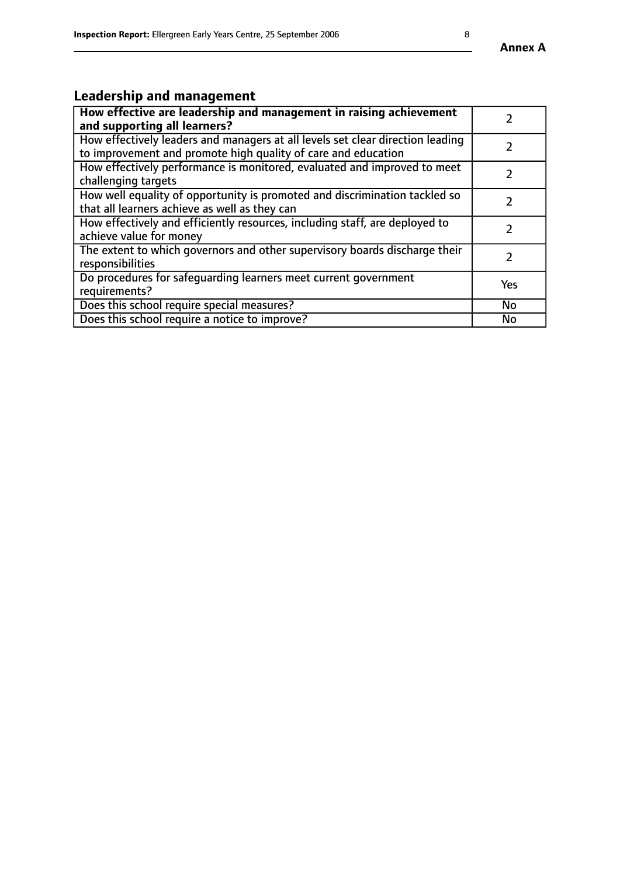# **Leadership and management**

| How effective are leadership and management in raising achievement<br>and supporting all learners?                                              |           |
|-------------------------------------------------------------------------------------------------------------------------------------------------|-----------|
| How effectively leaders and managers at all levels set clear direction leading<br>to improvement and promote high quality of care and education |           |
| How effectively performance is monitored, evaluated and improved to meet<br>challenging targets                                                 |           |
| How well equality of opportunity is promoted and discrimination tackled so<br>that all learners achieve as well as they can                     |           |
| How effectively and efficiently resources, including staff, are deployed to<br>achieve value for money                                          |           |
| The extent to which governors and other supervisory boards discharge their<br>responsibilities                                                  |           |
| Do procedures for safequarding learners meet current government<br>requirements?                                                                | Yes       |
| Does this school require special measures?                                                                                                      | No        |
| Does this school require a notice to improve?                                                                                                   | <b>No</b> |